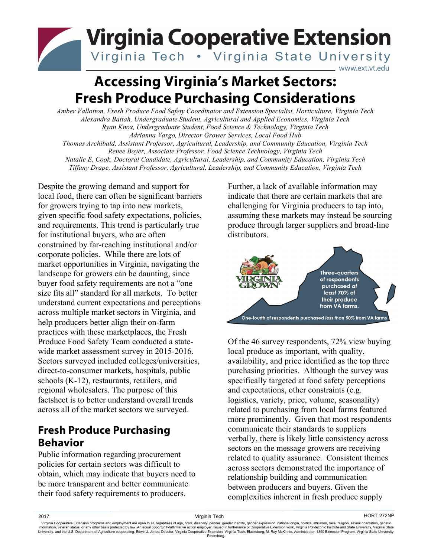## **Virginia Cooperative Extension** Virginia Tech . Virginia State University www.ext.vt.edu

# **Accessing Virginia's Market Sectors: Fresh Produce Purchasing Considerations**

*Amber Vallotton, Fresh Produce Food Safety Coordinator and Extension Specialist, Horticulture, Virginia Tech Alexandra Battah, Undergraduate Student, Agricultural and Applied Economics, Virginia Tech Ryan Knox, Undergraduate Student, Food Science & Technology, Virginia Tech Adrianna Vargo, Director Grower Services, Local Food Hub Thomas Archibald, Assistant Professor, Agricultural, Leadership, and Community Education, Virginia Tech Renee Boyer, Associate Professor, Food Science Technology, Virginia Tech Natalie E. Cook, Doctoral Candidate, Agricultural, Leadership, and Community Education, Virginia Tech Tiffany Drape, Assistant Professor, Agricultural, Leadership, and Community Education, Virginia Tech*

Despite the growing demand and support for local food, there can often be significant barriers for growers trying to tap into new markets, given specific food safety expectations, policies, and requirements. This trend is particularly true for institutional buyers, who are often constrained by far-reaching institutional and/or corporate policies. While there are lots of market opportunities in Virginia, navigating the landscape for growers can be daunting, since buyer food safety requirements are not a "one size fits all" standard for all markets. To better understand current expectations and perceptions across multiple market sectors in Virginia, and help producers better align their on-farm practices with these marketplaces, the Fresh Produce Food Safety Team conducted a statewide market assessment survey in 2015-2016. Sectors surveyed included colleges/universities, direct-to-consumer markets, hospitals, public schools (K-12), restaurants, retailers, and regional wholesalers. The purpose of this factsheet is to better understand overall trends across all of the market sectors we surveyed.

## **Fresh Produce Purchasing Behavior**

Public information regarding procurement policies for certain sectors was difficult to obtain, which may indicate that buyers need to be more transparent and better communicate their food safety requirements to producers.

Further, a lack of available information may indicate that there are certain markets that are challenging for Virginia producers to tap into, assuming these markets may instead be sourcing produce through larger suppliers and broad-line distributors.



Of the 46 survey respondents, 72% view buying local produce as important, with quality, availability, and price identified as the top three purchasing priorities. Although the survey was specifically targeted at food safety perceptions and expectations, other constraints (e.g. logistics, variety, price, volume, seasonality) related to purchasing from local farms featured more prominently. Given that most respondents communicate their standards to suppliers verbally, there is likely little consistency across sectors on the message growers are receiving related to quality assurance. Consistent themes across sectors demonstrated the importance of relationship building and communication between producers and buyers. Given the complexities inherent in fresh produce supply

2017 Virginia Tech HORT-272NP

Virginia Cooperative Extension programs and employment are open to all, regardless of age, color, disability, gender, gender identity, gender expression, national origin, political affiliation, race, religion, sexual orien **Petersburg**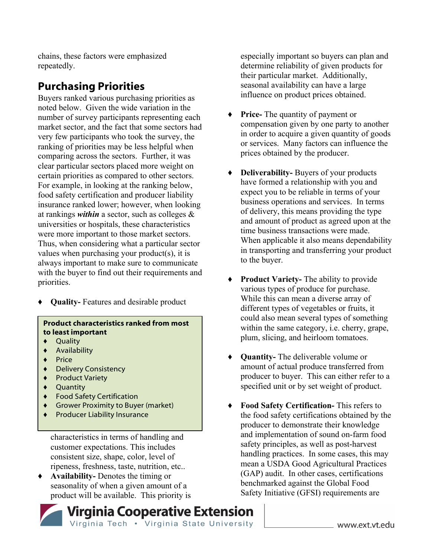chains, these factors were emphasized repeatedly.

### **Purchasing Priorities**

Buyers ranked various purchasing priorities as noted below. Given the wide variation in the number of survey participants representing each market sector, and the fact that some sectors had very few participants who took the survey, the ranking of priorities may be less helpful when comparing across the sectors. Further, it was clear particular sectors placed more weight on certain priorities as compared to other sectors. For example, in looking at the ranking below, food safety certification and producer liability insurance ranked lower; however, when looking at rankings *within* a sector, such as colleges & universities or hospitals, these characteristics were more important to those market sectors. Thus, when considering what a particular sector values when purchasing your product(s), it is always important to make sure to communicate with the buyer to find out their requirements and priorities.

*♦* **Quality-** Features and desirable product

#### **Product characteristics ranked from most to least important**

- ♦ Quality
- ♦ Availability
- ♦ Price
- ♦ Delivery Consistency
- ♦ Product Variety
- ♦ Quantity
- ♦ Food Safety Certification
- ♦ Grower Proximity to Buyer (market)
- **Producer Liability Insurance**

characteristics in terms of handling and customer expectations. This includes consistent size, shape, color, level of ripeness, freshness, taste, nutrition, etc..

♦ **Availability-** Denotes the timing or seasonality of when a given amount of a product will be available. This priority is especially important so buyers can plan and determine reliability of given products for their particular market. Additionally, seasonal availability can have a large influence on product prices obtained.

- ♦ **Price-** The quantity of payment or compensation given by one party to another in order to acquire a given quantity of goods or services. Many factors can influence the prices obtained by the producer.
- ♦ **Deliverability-** Buyers of your products have formed a relationship with you and expect you to be reliable in terms of your business operations and services. In terms of delivery, this means providing the type and amount of product as agreed upon at the time business transactions were made. When applicable it also means dependability in transporting and transferring your product to the buyer.
- ♦ **Product Variety-** The ability to provide various types of produce for purchase. While this can mean a diverse array of different types of vegetables or fruits, it could also mean several types of something within the same category, i.e. cherry, grape, plum, slicing, and heirloom tomatoes.
- ♦ **Quantity-** The deliverable volume or amount of actual produce transferred from producer to buyer. This can either refer to a specified unit or by set weight of product.
- ♦ **Food Safety Certification-** This refers to the food safety certifications obtained by the producer to demonstrate their knowledge and implementation of sound on-farm food safety principles, as well as post-harvest handling practices. In some cases, this may mean a USDA Good Agricultural Practices (GAP) audit. In other cases, certifications benchmarked against the Global Food Safety Initiative (GFSI) requirements are

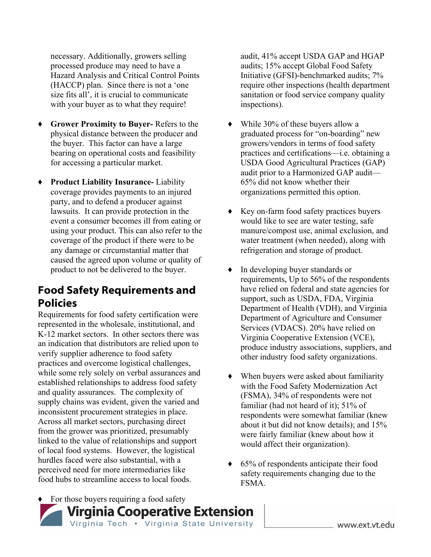necessary. Additionally, growers selling processed produce may need to have a Hazard Analysis and Critical Control Points (HACCP) plan. Since there is not a 'one size fits all', it is crucial to communicate with your buyer as to what they require!

- **Grower Proximity to Buyer-** Refers to the physical distance between the producer and the buyer. This factor can have a large bearing on operational costs and feasibility for accessing a particular market.
- **Product Liability Insurance-** Liability coverage provides payments to an injured party, and to defend a producer against lawsuits. It can provide protection in the event a consumer becomes ill from eating or using your product. This can also refer to the coverage of the product if there were to be any damage or circumstantial matter that caused the agreed upon volume or quality of product to not be delivered to the buyer.

### **Food Safety Requirements and Policies**

Requirements for food safety certification were represented in the wholesale, institutional, and K-12 market sectors. In other sectors there was an indication that distributors are relied upon to verify supplier adherence to food safety practices and overcome logistical challenges, while some rely solely on verbal assurances and established relationships to address food safety and quality assurances. The complexity of supply chains was evident, given the varied and inconsistent procurement strategies in place. Across all market sectors, purchasing direct from the grower was prioritized, presumably linked to the value of relationships and support of local food systems. However, the logistical hurdles faced were also substantial, with a perceived need for more intermediaries like food hubs to streamline access to local foods.

audit, 41% accept USDA GAP and HGAP audits; 15% accept Global Food Safety Initiative (GFSI)-benchmarked audits; 7% require other inspections (health department sanitation or food service company quality inspections).

- ♦ While 30% of these buyers allow a graduated process for "on-boarding" new growers/vendors in terms of food safety practices and certifications—i.e. obtaining a USDA Good Agricultural Practices (GAP) audit prior to a Harmonized GAP audit— 65% did not know whether their organizations permitted this option.
- ♦ Key on-farm food safety practices buyers would like to see are water testing, safe manure/compost use, animal exclusion, and water treatment (when needed), along with refrigeration and storage of product.
- ♦ In developing buyer standards or requirements, Up to 56% of the respondents have relied on federal and state agencies for support, such as USDA, FDA, Virginia Department of Health (VDH), and Virginia Department of Agriculture and Consumer Services (VDACS). 20% have relied on Virginia Cooperative Extension (VCE), produce industry associations, suppliers, and other industry food safety organizations.
- ♦ When buyers were asked about familiarity with the Food Safety Modernization Act (FSMA), 34% of respondents were not familiar (had not heard of it); 51% of respondents were somewhat familiar (knew about it but did not know details); and 15% were fairly familiar (knew about how it would affect their organization).
- ♦ 65% of respondents anticipate their food safety requirements changing due to the FSMA.



www.ext.vt.edu